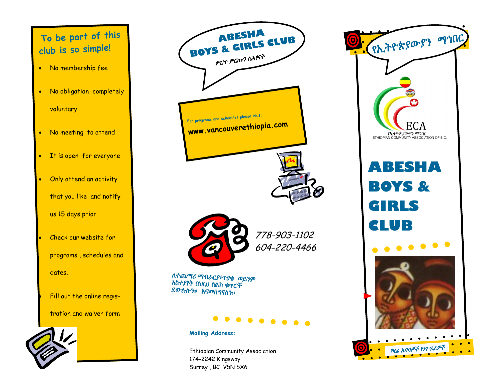# **To be part of this club is so simple!**

- No membership fee
- No obligation completely voluntary
- No meeting to attend
- It is open for everyone
- Only attend an activity that you like and notify us 15 days prior
- Check our website for programs , schedules and dates.
	- Fill out the online regis-
	- tration and waiver form





Ethiopian Community Association 174-2242 Kingsway Surrey , BC V5N 5X6